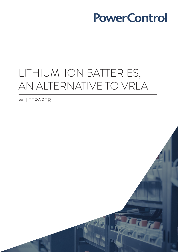# LITHIUM-ION BATTERIES, AN ALTERNATIVE TO VRLA

WHITEPAPER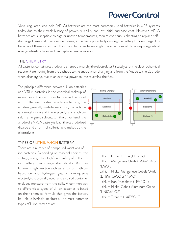Valve-regulated lead-acid (VRLA) batteries are the most commonly used batteries in UPS systems today due to their track history of proven reliability and low initial purchase cost. However, VRLA batteries are susceptible to high or uneven temperatures, require continuous charging to replace selfdischarge losses and their ever-increasing impedance potentially causing the battery to overcharge. It is because of these issues that lithium-ion batteries have caught the attentions of those requiring critical energy infrastructures and has captured media interest.

### THE CHEMISTRY

All batteries contain a cathode and an anode whereby the electrolytes (a catalyst for the electrochemical reaction) are flowing from the cathode to the anode when charging and from the Anode to the Cathode when discharging, due to an external power source reversing the flow.

The principle difference between li-ion batteries and VRLA batteries is the chemical makeup of molecules in the electrodes (anode and cathode) and of the electrolytes. In a li-ion battery, the anode is generally made from carbon, the cathode is a metal oxide and the electrolyte is a lithium salt in an organic solvent. On the other hand, the anode of a VRLA battery is lead, the cathode lead dioxide and a form of sulfuric acid makes up the electrolytes.

#### TYPES OF LITHIUM-ION BATTERY

There are a number of compound variations of liion batteries. Depending on material choices, the voltage, energy density, life and safety of a lithiumion battery can change dramatically. As pure lithium is high reactive with water to form lithium hydroxide and hydrogen gas, a non-aqueous electrolyte is typically used, and a sealed container excludes moisture from the cells. A common way to differentiate types of Li-ion batteries is based on their chemical formula that gives the battery its unique intrinsic attributes. The most common types of li-ion batteries are:



- Lithium Cobalt Oxide (LiCoO2)
- Lithium Manganese Oxide (LiMn2O4 or "LMO")
- Lithium Nickel Manganese Cobalt Oxide (LiNiMnCoO2 or "NMC")
- Lithium Iron Phosphate (LiFePO4)
- Lithium Nickel Cobalt Aluminum Oxide (LiNiCoAIO2)
- Lithium Titanate (Li4Ti5O12)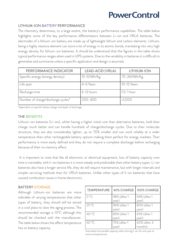# LITHIUM-ION BATTERY PERFORMANCE

The chemistry determines, to a large extent, the battery's performance capabilities. The table below highlights some of the key performance differentiators between Li-ion and VRLA batteries. The electrodes of a lithium-ion battery are made up of lightweight lithium and carbon elements. Lithium, being a highly reactive element can store a lot of energy in its atomic bonds, translating into very high energy density for lithium-ion batteries. It should be understood that the figures in the table shows typical performance ranges when used in UPS systems. Due to the variability in batteries it is difficult to generalise and summarise unless a specific application and design is assumed.

| PERFORMANCE INDICATOR              | LEAD-ACID (VRLA) | LITHIUM-ION    |
|------------------------------------|------------------|----------------|
| Specific energy (energy density)   | 15-50Wh/Kg       | 70-260Wh/Kg    |
| Life span                          | 4-6 Years        | 10-15 Years    |
| Recharge time                      | $6-12$ hours     | $1/2 - 1$ hour |
| Number of charge/discharge cycles* | 200-400          | >1,000         |

\*dependent on specific battery design and depth of discharge.

# THE BENEFITS

Lithium-ion batteries (Li-ion), whilst having a higher initial cost than alternative batteries, hold their charge much better and can handle hundreds of charge/discharge cycles. Due to their molecular structure, they are also considerably lighter, up to 70% smaller and can work reliably at a wider temperature than other rechargeable battery options making them perfect for energy markets. Their performance is more easily defined and they do not require a complete discharge before recharging because of their no memory effect.

 It is important to note that like all electronic or electrical equipment, loss of battery capacity over time is inevitable, with li-ion batteries it is more steady and predictable than other battery types. Li-ion batteries also have a longer service life, they do still require maintenance, but with longer intervals and simpler servicing methods than for VRLA batteries. Unlike other types of li-ion batteries that have caused combustion issues in home electronics.

## BATTERY STORAGE

Although Lithium-ion batteries are more tolerable of varying temperatures that other types of battery, they should still be stored in a cool place to slow the aging process. The recommended storage is 15°C although this should be checked with the manufacturer. The table below shows the affect temperature has on battery capacity.

| TEMPERATURE    | 40% CHARGE            | 100% CHARGE             |
|----------------|-----------------------|-------------------------|
| $0^{\circ}$ C  | 98% (after 1<br>year) | 94% (after 1<br>year)   |
| $25^{\circ}$ C | 96% (after 1<br>year) | 80% (after 1<br>year)   |
| 40 °C          | 85% (after 1<br>year) | 65% (after 1<br>year)   |
| 60 °C          | 75% (after 1<br>year) | 60% (after 3<br>months) |

\*estimated recoverable capacity when storing li-ion for one year at various temperatures.